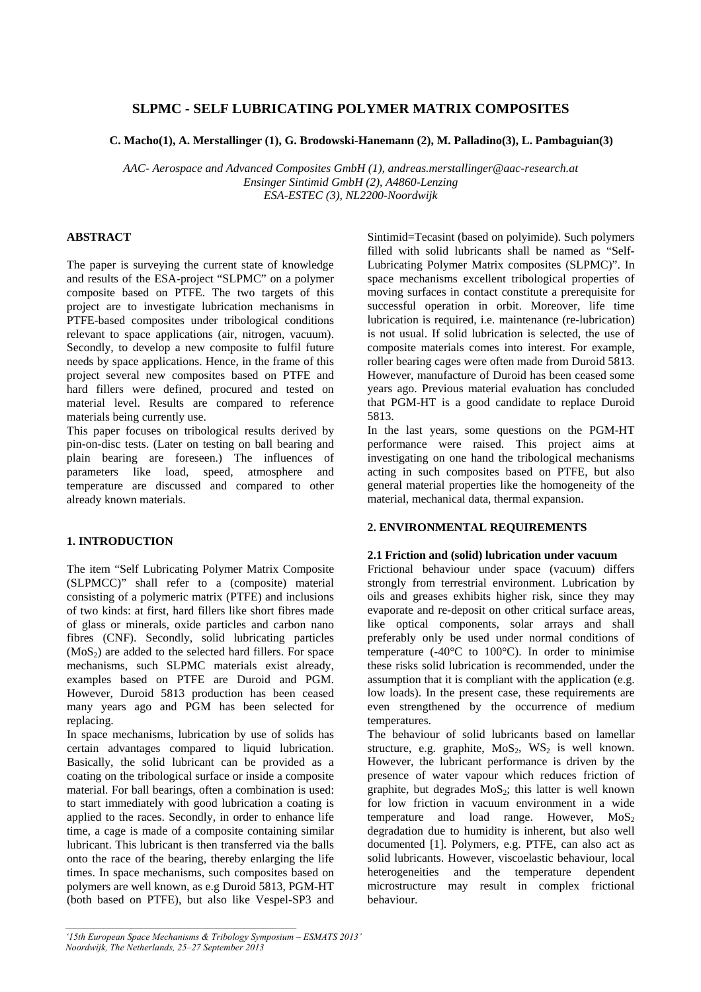# **SLPMC - SELF LUBRICATING POLYMER MATRIX COMPOSITES**

### **C. Macho(1), A. Merstallinger (1), G. Brodowski-Hanemann (2), M. Palladino(3), L. Pambaguian(3)**

*AAC- Aerospace and Advanced Composites GmbH (1), andreas.merstallinger@aac-research.at Ensinger Sintimid GmbH (2), A4860-Lenzing ESA-ESTEC (3), NL2200-Noordwijk* 

# **ABSTRACT**

The paper is surveying the current state of knowledge and results of the ESA-project "SLPMC" on a polymer composite based on PTFE. The two targets of this project are to investigate lubrication mechanisms in PTFE-based composites under tribological conditions relevant to space applications (air, nitrogen, vacuum). Secondly, to develop a new composite to fulfil future needs by space applications. Hence, in the frame of this project several new composites based on PTFE and hard fillers were defined, procured and tested on material level. Results are compared to reference materials being currently use.

This paper focuses on tribological results derived by pin-on-disc tests. (Later on testing on ball bearing and plain bearing are foreseen.) The influences of parameters like load, speed, atmosphere and temperature are discussed and compared to other already known materials.

# **1. INTRODUCTION**

The item "Self Lubricating Polymer Matrix Composite (SLPMCC)" shall refer to a (composite) material consisting of a polymeric matrix (PTFE) and inclusions of two kinds: at first, hard fillers like short fibres made of glass or minerals, oxide particles and carbon nano fibres (CNF). Secondly, solid lubricating particles  $(MoS<sub>2</sub>)$  are added to the selected hard fillers. For space mechanisms, such SLPMC materials exist already, examples based on PTFE are Duroid and PGM. However, Duroid 5813 production has been ceased many years ago and PGM has been selected for replacing.

In space mechanisms, lubrication by use of solids has certain advantages compared to liquid lubrication. Basically, the solid lubricant can be provided as a coating on the tribological surface or inside a composite material. For ball bearings, often a combination is used: to start immediately with good lubrication a coating is applied to the races. Secondly, in order to enhance life time, a cage is made of a composite containing similar lubricant. This lubricant is then transferred via the balls onto the race of the bearing, thereby enlarging the life times. In space mechanisms, such composites based on polymers are well known, as e.g Duroid 5813, PGM-HT (both based on PTFE), but also like Vespel-SP3 and Sintimid=Tecasint (based on polyimide). Such polymers filled with solid lubricants shall be named as "Self-Lubricating Polymer Matrix composites (SLPMC)". In space mechanisms excellent tribological properties of moving surfaces in contact constitute a prerequisite for successful operation in orbit. Moreover, life time lubrication is required, i.e. maintenance (re-lubrication) is not usual. If solid lubrication is selected, the use of composite materials comes into interest. For example, roller bearing cages were often made from Duroid 5813. However, manufacture of Duroid has been ceased some years ago. Previous material evaluation has concluded that PGM-HT is a good candidate to replace Duroid 5813.

In the last years, some questions on the PGM-HT performance were raised. This project aims at investigating on one hand the tribological mechanisms acting in such composites based on PTFE, but also general material properties like the homogeneity of the material, mechanical data, thermal expansion.

# **2. ENVIRONMENTAL REQUIREMENTS**

### **2.1 Friction and (solid) lubrication under vacuum**

Frictional behaviour under space (vacuum) differs strongly from terrestrial environment. Lubrication by oils and greases exhibits higher risk, since they may evaporate and re-deposit on other critical surface areas, like optical components, solar arrays and shall preferably only be used under normal conditions of temperature  $(-40^{\circ}$ C to  $100^{\circ}$ C). In order to minimise these risks solid lubrication is recommended, under the assumption that it is compliant with the application (e.g. low loads). In the present case, these requirements are even strengthened by the occurrence of medium temperatures.

The behaviour of solid lubricants based on lamellar structure, e.g. graphite,  $MoS<sub>2</sub>$ ,  $WS<sub>2</sub>$  is well known. However, the lubricant performance is driven by the presence of water vapour which reduces friction of graphite, but degrades  $MoS<sub>2</sub>$ ; this latter is well known for low friction in vacuum environment in a wide temperature and load range. However,  $MoS<sub>2</sub>$ degradation due to humidity is inherent, but also well documented [1]. Polymers, e.g. PTFE, can also act as solid lubricants. However, viscoelastic behaviour, local heterogeneities and the temperature dependent microstructure may result in complex frictional behaviour.

*<sup>&#</sup>x27;15th European Space Mechanisms & Tribology Symposium – ESMATS 2013' Noordwijk, The Netherlands, 25–27 September 2013*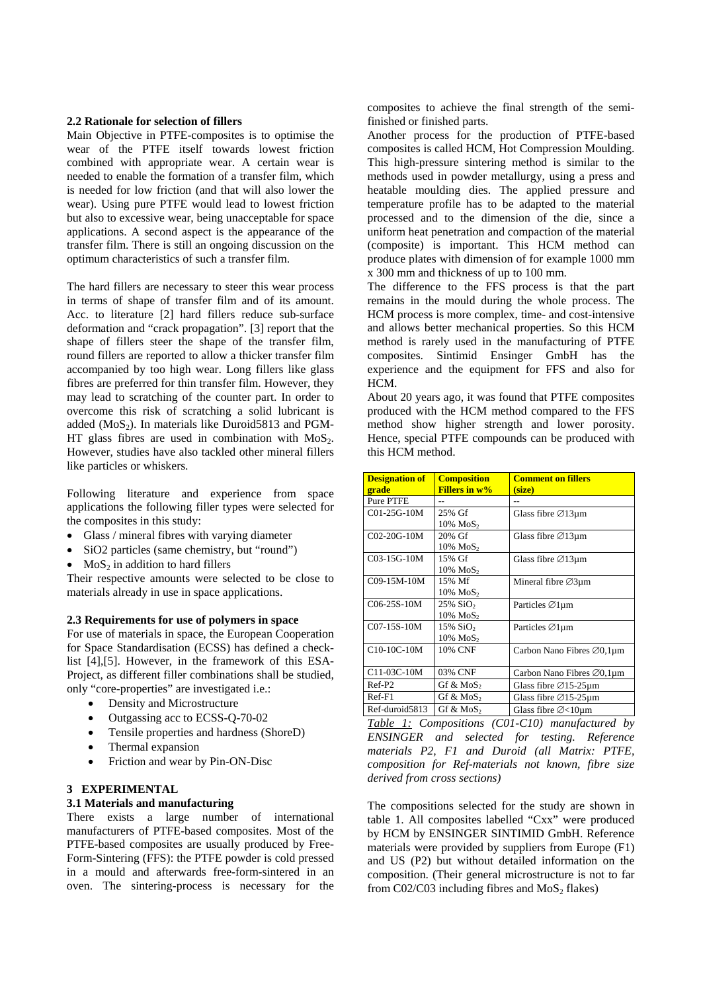### **2.2 Rationale for selection of fillers**

Main Objective in PTFE-composites is to optimise the wear of the PTFE itself towards lowest friction combined with appropriate wear. A certain wear is needed to enable the formation of a transfer film, which is needed for low friction (and that will also lower the wear). Using pure PTFE would lead to lowest friction but also to excessive wear, being unacceptable for space applications. A second aspect is the appearance of the transfer film. There is still an ongoing discussion on the optimum characteristics of such a transfer film.

The hard fillers are necessary to steer this wear process in terms of shape of transfer film and of its amount. Acc. to literature [2] hard fillers reduce sub-surface deformation and "crack propagation". [3] report that the shape of fillers steer the shape of the transfer film, round fillers are reported to allow a thicker transfer film accompanied by too high wear. Long fillers like glass fibres are preferred for thin transfer film. However, they may lead to scratching of the counter part. In order to overcome this risk of scratching a solid lubricant is added  $(MoS<sub>2</sub>)$ . In materials like Duroid5813 and PGM-HT glass fibres are used in combination with  $MoS<sub>2</sub>$ . However, studies have also tackled other mineral fillers like particles or whiskers.

Following literature and experience from space applications the following filler types were selected for the composites in this study:

- Glass / mineral fibres with varying diameter
- SiO2 particles (same chemistry, but "round")
- $MoS<sub>2</sub>$  in addition to hard fillers

Their respective amounts were selected to be close to materials already in use in space applications.

#### **2.3 Requirements for use of polymers in space**

For use of materials in space, the European Cooperation for Space Standardisation (ECSS) has defined a checklist [4],[5]. However, in the framework of this ESA-Project, as different filler combinations shall be studied, only "core-properties" are investigated i.e.:

- Density and Microstructure
- Outgassing acc to ECSS-O-70-02
- Tensile properties and hardness (ShoreD)
- Thermal expansion
- Friction and wear by Pin-ON-Disc

#### **3 EXPERIMENTAL**

### **3.1 Materials and manufacturing**

There exists a large number of international manufacturers of PTFE-based composites. Most of the PTFE-based composites are usually produced by Free-Form-Sintering (FFS): the PTFE powder is cold pressed in a mould and afterwards free-form-sintered in an oven. The sintering-process is necessary for the composites to achieve the final strength of the semifinished or finished parts.

Another process for the production of PTFE-based composites is called HCM, Hot Compression Moulding. This high-pressure sintering method is similar to the methods used in powder metallurgy, using a press and heatable moulding dies. The applied pressure and temperature profile has to be adapted to the material processed and to the dimension of the die, since a uniform heat penetration and compaction of the material (composite) is important. This HCM method can produce plates with dimension of for example 1000 mm x 300 mm and thickness of up to 100 mm.

The difference to the FFS process is that the part remains in the mould during the whole process. The HCM process is more complex, time- and cost-intensive and allows better mechanical properties. So this HCM method is rarely used in the manufacturing of PTFE composites. Sintimid Ensinger GmbH has the experience and the equipment for FFS and also for HCM.

About 20 years ago, it was found that PTFE composites produced with the HCM method compared to the FFS method show higher strength and lower porosity. Hence, special PTFE compounds can be produced with this HCM method.

| <b>Designation of</b> | <b>Composition</b>      | <b>Comment on fillers</b>              |
|-----------------------|-------------------------|----------------------------------------|
| grade                 | <b>Fillers in w%</b>    | (size)                                 |
| Pure PTFE             |                         |                                        |
| $C01-25G-10M$         | 25% Gf                  | Glass fibre $\varnothing$ 13µm         |
|                       | 10% MoS <sub>2</sub>    |                                        |
| C02-20G-10M           | 20% Gf                  | Glass fibre $\varnothing$ 13µm         |
|                       | $10\%$ MoS <sub>2</sub> |                                        |
| $C03-15G-10M$         | 15% Gf                  | Glass fibre $\varnothing$ 13µm         |
|                       | 10% MoS <sub>2</sub>    |                                        |
| C09-15M-10M           | 15% Mf                  | Mineral fibre $\varnothing$ 3µm        |
|                       | $10\%$ MoS <sub>2</sub> |                                        |
| $C06-25S-10M$         | 25% SiO <sub>2</sub>    | Particles ⊘1µm                         |
|                       | 10% MoS <sub>2</sub>    |                                        |
| C07-15S-10M           | 15% SiO <sub>2</sub>    | Particles ⊘1µm                         |
|                       | $10\%$ MoS <sub>2</sub> |                                        |
| C10-10C-10M           | 10% CNF                 | Carbon Nano Fibres $\varnothing$ 0,1µm |
|                       |                         |                                        |
| C11-03C-10M           | 03% CNF                 | Carbon Nano Fibres $\varnothing$ 0,1µm |
| Ref-P <sub>2</sub>    | Gf & MoS <sub>2</sub>   | Glass fibre $\varnothing$ 15-25µm      |
| $Ref-F1$              | Gf & MoS <sub>2</sub>   | Glass fibre $\varnothing$ 15-25µm      |
| Ref-duroid5813        | Gf & MoS <sub>2</sub>   | Glass fibre $\varnothing$ < 10 $\mu$ m |

*Table 1: Compositions (C01-C10) manufactured by ENSINGER and selected for testing. Reference materials P2, F1 and Duroid (all Matrix: PTFE, composition for Ref-materials not known, fibre size derived from cross sections)* 

The compositions selected for the study are shown in table 1. All composites labelled "Cxx" were produced by HCM by ENSINGER SINTIMID GmbH. Reference materials were provided by suppliers from Europe (F1) and US (P2) but without detailed information on the composition. (Their general microstructure is not to far from C02/C03 including fibres and  $MoS<sub>2</sub>$  flakes)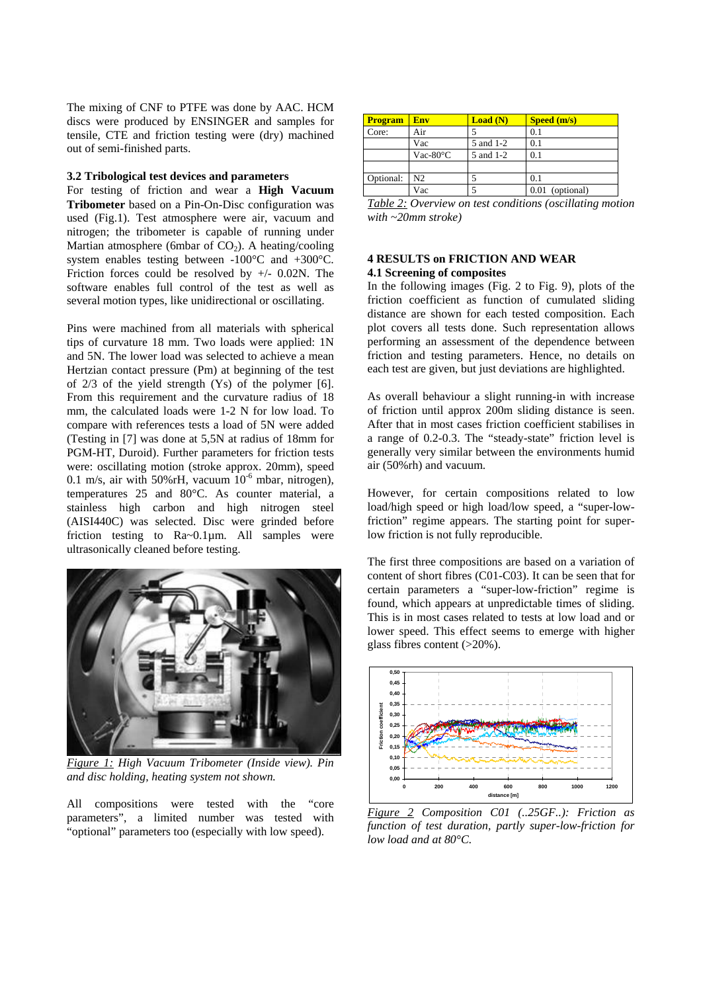The mixing of CNF to PTFE was done by AAC. HCM discs were produced by ENSINGER and samples for tensile, CTE and friction testing were (dry) machined out of semi-finished parts.

### **3.2 Tribological test devices and parameters**

For testing of friction and wear a **High Vacuum Tribometer** based on a Pin-On-Disc configuration was used (Fig.1). Test atmosphere were air, vacuum and nitrogen; the tribometer is capable of running under Martian atmosphere (6mbar of  $CO<sub>2</sub>$ ). A heating/cooling system enables testing between -100°C and +300°C. Friction forces could be resolved by  $+/- 0.02N$ . The software enables full control of the test as well as several motion types, like unidirectional or oscillating.

Pins were machined from all materials with spherical tips of curvature 18 mm. Two loads were applied: 1N and 5N. The lower load was selected to achieve a mean Hertzian contact pressure (Pm) at beginning of the test of  $2/3$  of the yield strength  $(Y_s)$  of the polymer [6]. From this requirement and the curvature radius of 18 mm, the calculated loads were 1-2 N for low load. To compare with references tests a load of 5N were added (Testing in [7] was done at 5,5N at radius of 18mm for PGM-HT, Duroid). Further parameters for friction tests were: oscillating motion (stroke approx. 20mm), speed 0.1 m/s, air with 50%rH, vacuum  $10^{-6}$  mbar, nitrogen), temperatures 25 and 80°C. As counter material, a stainless high carbon and high nitrogen steel (AISI440C) was selected. Disc were grinded before friction testing to Ra~0.1µm. All samples were ultrasonically cleaned before testing.



*Figure 1: High Vacuum Tribometer (Inside view). Pin and disc holding, heating system not shown.* 

All compositions were tested with the "core parameters", a limited number was tested with "optional" parameters too (especially with low speed).

| <b>Program</b> | Env                    | Load(N)   | Speed (m/s)     |
|----------------|------------------------|-----------|-----------------|
| Core:          | Air                    |           | 0.1             |
|                | Vac                    | 5 and 1-2 | 0.1             |
|                | Vac-80 $\rm ^{\circ}C$ | 5 and 1-2 | 0.1             |
|                |                        |           |                 |
| Optional:      | N2.                    |           | 0.1             |
|                | Vac                    |           | 0.01 (optional) |

|                          | Table 2: Overview on test conditions (oscillating motion |
|--------------------------|----------------------------------------------------------|
| with $\sim$ 20mm stroke) |                                                          |

# **4 RESULTS on FRICTION AND WEAR 4.1 Screening of composites**

In the following images (Fig. 2 to Fig. 9), plots of the friction coefficient as function of cumulated sliding distance are shown for each tested composition. Each plot covers all tests done. Such representation allows performing an assessment of the dependence between friction and testing parameters. Hence, no details on each test are given, but just deviations are highlighted.

As overall behaviour a slight running-in with increase of friction until approx 200m sliding distance is seen. After that in most cases friction coefficient stabilises in a range of 0.2-0.3. The "steady-state" friction level is generally very similar between the environments humid air (50%rh) and vacuum.

However, for certain compositions related to low load/high speed or high load/low speed, a "super-lowfriction" regime appears. The starting point for superlow friction is not fully reproducible.

The first three compositions are based on a variation of content of short fibres (C01-C03). It can be seen that for certain parameters a "super-low-friction" regime is found, which appears at unpredictable times of sliding. This is in most cases related to tests at low load and or lower speed. This effect seems to emerge with higher glass fibres content (>20%).



*Figure 2 Composition C01 (..25GF..): Friction as function of test duration, partly super-low-friction for low load and at 80°C.*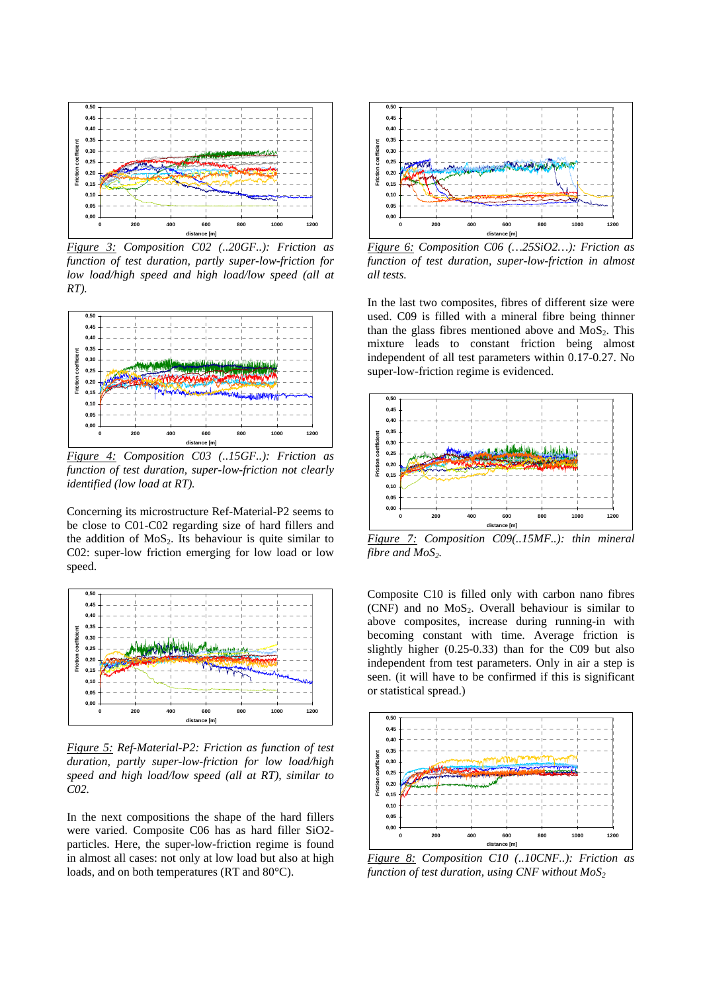

*Figure 3: Composition C02 (..20GF..): Friction as function of test duration, partly super-low-friction for low load/high speed and high load/low speed (all at RT).* 



*Figure 4: Composition C03 (..15GF..): Friction as function of test duration, super-low-friction not clearly identified (low load at RT).*

Concerning its microstructure Ref-Material-P2 seems to be close to C01-C02 regarding size of hard fillers and the addition of  $MoS<sub>2</sub>$ . Its behaviour is quite similar to C02: super-low friction emerging for low load or low speed.



*Figure 5: Ref-Material-P2: Friction as function of test duration, partly super-low-friction for low load/high speed and high load/low speed (all at RT), similar to C02.* 

In the next compositions the shape of the hard fillers were varied. Composite C06 has as hard filler SiO2 particles. Here, the super-low-friction regime is found in almost all cases: not only at low load but also at high loads, and on both temperatures (RT and 80°C).



*Figure 6: Composition C06 (…25SiO2…): Friction as function of test duration, super-low-friction in almost all tests.* 

In the last two composites, fibres of different size were used. C09 is filled with a mineral fibre being thinner than the glass fibres mentioned above and  $MoS<sub>2</sub>$ . This mixture leads to constant friction being almost independent of all test parameters within 0.17-0.27. No super-low-friction regime is evidenced.



*Figure 7: Composition C09(..15MF..): thin mineral fibre and MoS<sub>2</sub>.* 

Composite C10 is filled only with carbon nano fibres (CNF) and no  $MoS<sub>2</sub>$ . Overall behaviour is similar to above composites, increase during running-in with becoming constant with time. Average friction is slightly higher (0.25-0.33) than for the C09 but also independent from test parameters. Only in air a step is seen. (it will have to be confirmed if this is significant or statistical spread.)



*Figure 8: Composition C10 (..10CNF..): Friction as function of test duration, using CNF without*  $MoS<sub>2</sub>$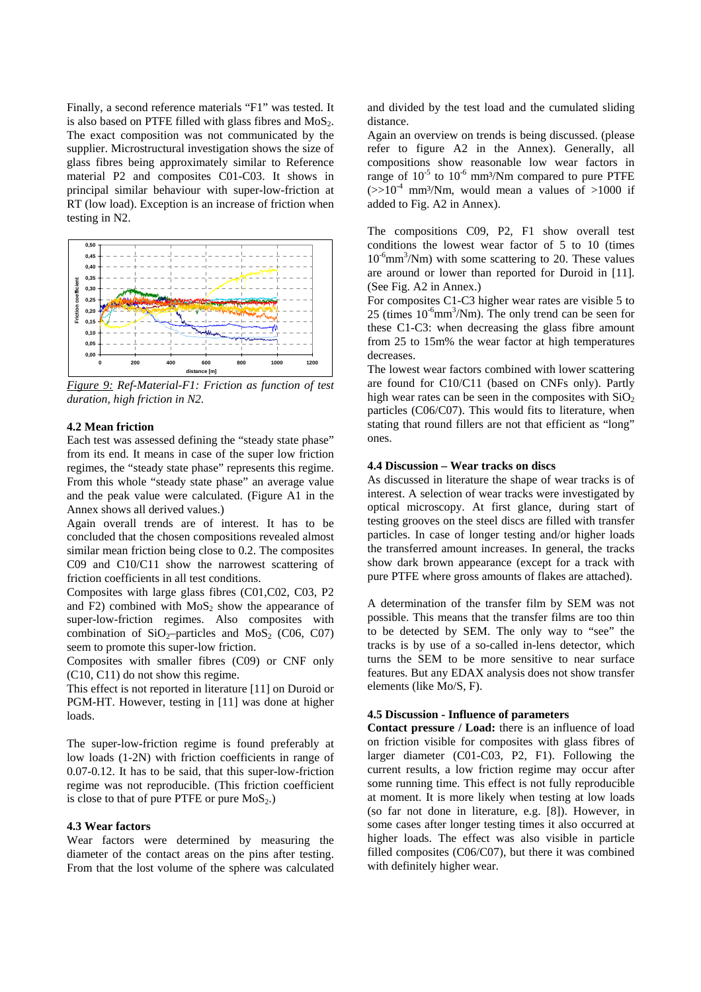Finally, a second reference materials "F1" was tested. It is also based on PTFE filled with glass fibres and  $MoS<sub>2</sub>$ . The exact composition was not communicated by the supplier. Microstructural investigation shows the size of glass fibres being approximately similar to Reference material P2 and composites C01-C03. It shows in principal similar behaviour with super-low-friction at RT (low load). Exception is an increase of friction when testing in N2.



*Figure 9: Ref-Material-F1: Friction as function of test duration, high friction in N2.* 

#### **4.2 Mean friction**

Each test was assessed defining the "steady state phase" from its end. It means in case of the super low friction regimes, the "steady state phase" represents this regime. From this whole "steady state phase" an average value and the peak value were calculated. (Figure A1 in the Annex shows all derived values.)

Again overall trends are of interest. It has to be concluded that the chosen compositions revealed almost similar mean friction being close to 0.2. The composites C09 and C10/C11 show the narrowest scattering of friction coefficients in all test conditions.

Composites with large glass fibres (C01,C02, C03, P2 and  $\overline{F}2$ ) combined with  $MoS<sub>2</sub>$  show the appearance of super-low-friction regimes. Also composites with combination of  $SiO<sub>2</sub>$ –particles and MoS<sub>2</sub> (C06, C07) seem to promote this super-low friction.

Composites with smaller fibres (C09) or CNF only (C10, C11) do not show this regime.

This effect is not reported in literature [11] on Duroid or PGM-HT. However, testing in [11] was done at higher loads.

The super-low-friction regime is found preferably at low loads (1-2N) with friction coefficients in range of 0.07-0.12. It has to be said, that this super-low-friction regime was not reproducible. (This friction coefficient is close to that of pure PTFE or pure  $MoS<sub>2</sub>$ .)

#### **4.3 Wear factors**

Wear factors were determined by measuring the diameter of the contact areas on the pins after testing. From that the lost volume of the sphere was calculated and divided by the test load and the cumulated sliding distance.

Again an overview on trends is being discussed. (please refer to figure A2 in the Annex). Generally, all compositions show reasonable low wear factors in range of  $10^{-5}$  to  $10^{-6}$  mm<sup>3</sup>/Nm compared to pure PTFE  $(>>10^{-4}$  mm<sup>3</sup>/Nm, would mean a values of >1000 if added to Fig. A2 in Annex).

The compositions C09, P2, F1 show overall test conditions the lowest wear factor of 5 to 10 (times  $10^{-6}$ mm<sup>3</sup>/Nm) with some scattering to 20. These values are around or lower than reported for Duroid in [11]. (See Fig. A2 in Annex.)

For composites C1-C3 higher wear rates are visible 5 to 25 (times  $10^{-6}$ mm<sup>3</sup>/Nm). The only trend can be seen for these C1-C3: when decreasing the glass fibre amount from 25 to 15m% the wear factor at high temperatures decreases.

The lowest wear factors combined with lower scattering are found for C10/C11 (based on CNFs only). Partly high wear rates can be seen in the composites with  $SiO<sub>2</sub>$ particles (C06/C07). This would fits to literature, when stating that round fillers are not that efficient as "long" ones.

#### **4.4 Discussion – Wear tracks on discs**

As discussed in literature the shape of wear tracks is of interest. A selection of wear tracks were investigated by optical microscopy. At first glance, during start of testing grooves on the steel discs are filled with transfer particles. In case of longer testing and/or higher loads the transferred amount increases. In general, the tracks show dark brown appearance (except for a track with pure PTFE where gross amounts of flakes are attached).

A determination of the transfer film by SEM was not possible. This means that the transfer films are too thin to be detected by SEM. The only way to "see" the tracks is by use of a so-called in-lens detector, which turns the SEM to be more sensitive to near surface features. But any EDAX analysis does not show transfer elements (like Mo/S, F).

### **4.5 Discussion - Influence of parameters**

**Contact pressure / Load:** there is an influence of load on friction visible for composites with glass fibres of larger diameter (C01-C03, P2, F1). Following the current results, a low friction regime may occur after some running time. This effect is not fully reproducible at moment. It is more likely when testing at low loads (so far not done in literature, e.g. [8]). However, in some cases after longer testing times it also occurred at higher loads. The effect was also visible in particle filled composites (C06/C07), but there it was combined with definitely higher wear.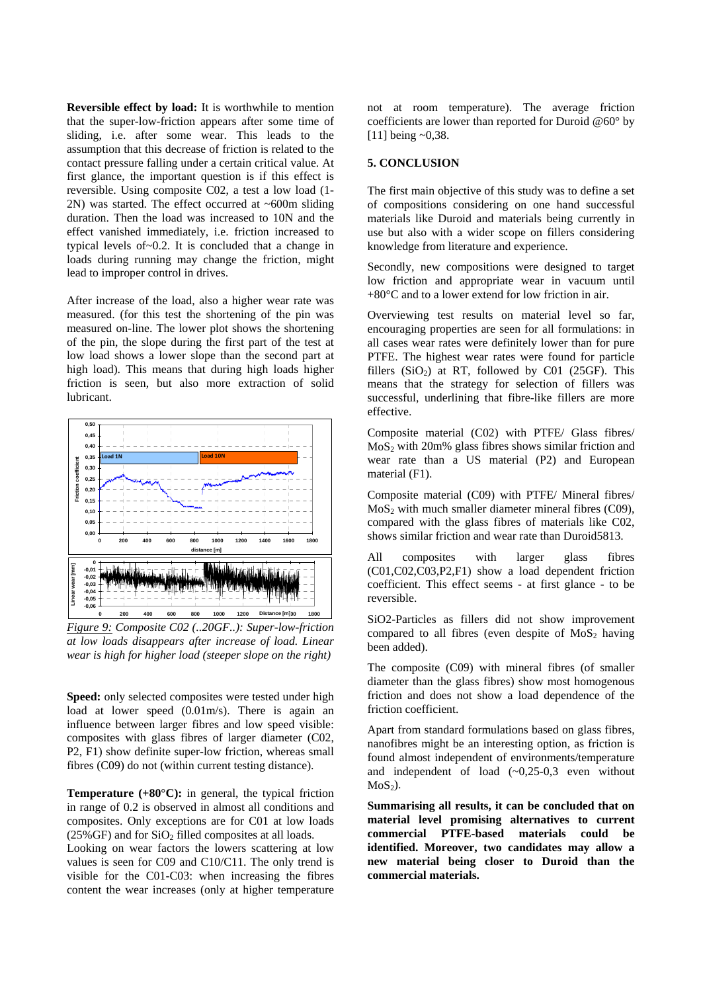**Reversible effect by load:** It is worthwhile to mention that the super-low-friction appears after some time of sliding, i.e. after some wear. This leads to the assumption that this decrease of friction is related to the contact pressure falling under a certain critical value. At first glance, the important question is if this effect is reversible. Using composite C02, a test a low load (1- 2N) was started. The effect occurred at  $\sim 600$ m sliding duration. Then the load was increased to 10N and the effect vanished immediately, i.e. friction increased to typical levels of~0.2. It is concluded that a change in loads during running may change the friction, might lead to improper control in drives.

After increase of the load, also a higher wear rate was measured. (for this test the shortening of the pin was measured on-line. The lower plot shows the shortening of the pin, the slope during the first part of the test at low load shows a lower slope than the second part at high load). This means that during high loads higher friction is seen, but also more extraction of solid lubricant.



*Figure 9: Composite C02 (..20GF..): Super-low-friction at low loads disappears after increase of load. Linear wear is high for higher load (steeper slope on the right)* 

Speed: only selected composites were tested under high load at lower speed (0.01m/s). There is again an influence between larger fibres and low speed visible: composites with glass fibres of larger diameter (C02, P2, F1) show definite super-low friction, whereas small fibres (C09) do not (within current testing distance).

**Temperature (+80°C):** in general, the typical friction in range of 0.2 is observed in almost all conditions and composites. Only exceptions are for C01 at low loads  $(25\%$  GF) and for  $SiO<sub>2</sub>$  filled composites at all loads.

Looking on wear factors the lowers scattering at low values is seen for C09 and C10/C11. The only trend is visible for the C01-C03: when increasing the fibres content the wear increases (only at higher temperature not at room temperature). The average friction coefficients are lower than reported for Duroid @60° by [11] being ~0,38.

### **5. CONCLUSION**

The first main objective of this study was to define a set of compositions considering on one hand successful materials like Duroid and materials being currently in use but also with a wider scope on fillers considering knowledge from literature and experience.

Secondly, new compositions were designed to target low friction and appropriate wear in vacuum until +80°C and to a lower extend for low friction in air.

Overviewing test results on material level so far, encouraging properties are seen for all formulations: in all cases wear rates were definitely lower than for pure PTFE. The highest wear rates were found for particle fillers  $(SiO<sub>2</sub>)$  at RT, followed by C01 (25GF). This means that the strategy for selection of fillers was successful, underlining that fibre-like fillers are more effective.

Composite material (C02) with PTFE/ Glass fibres/  $MoS<sub>2</sub>$  with 20m% glass fibres shows similar friction and wear rate than a US material (P2) and European material (F1).

Composite material (C09) with PTFE/ Mineral fibres/  $MoS<sub>2</sub>$  with much smaller diameter mineral fibres (C09), compared with the glass fibres of materials like C02, shows similar friction and wear rate than Duroid5813.

All composites with larger glass fibres (C01,C02,C03,P2,F1) show a load dependent friction coefficient. This effect seems - at first glance - to be reversible.

SiO2-Particles as fillers did not show improvement compared to all fibres (even despite of  $MoS<sub>2</sub>$  having been added).

The composite (C09) with mineral fibres (of smaller diameter than the glass fibres) show most homogenous friction and does not show a load dependence of the friction coefficient.

Apart from standard formulations based on glass fibres, nanofibres might be an interesting option, as friction is found almost independent of environments/temperature and independent of load  $(\sim 0.25-0.3$  even without  $MoS<sub>2</sub>$ ).

**Summarising all results, it can be concluded that on material level promising alternatives to current commercial PTFE-based materials could be identified. Moreover, two candidates may allow a new material being closer to Duroid than the commercial materials.**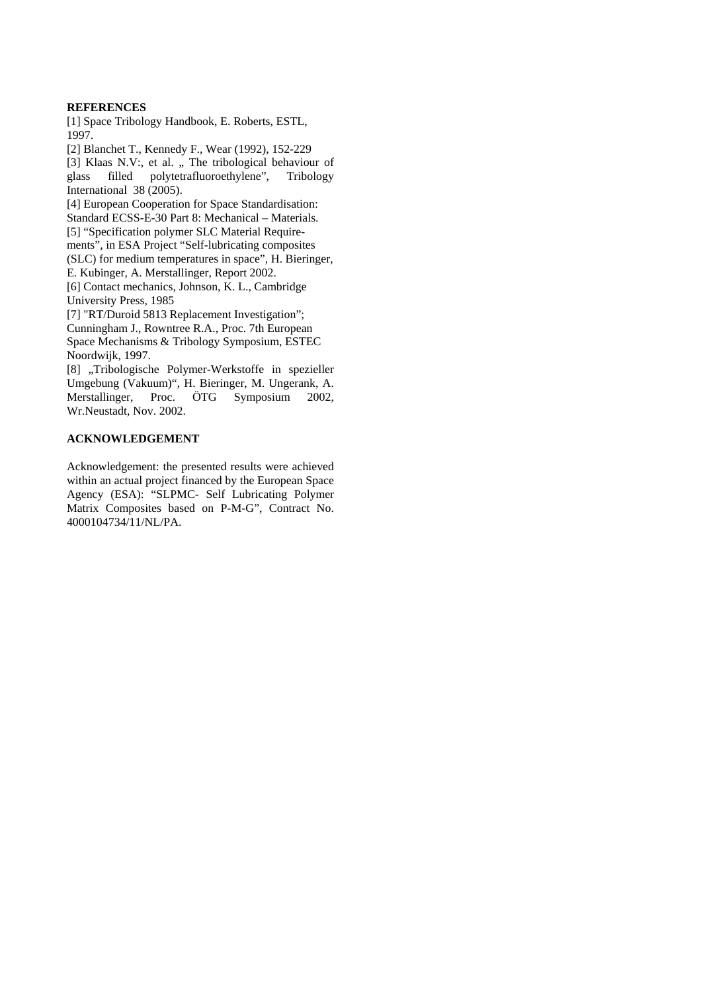### **REFERENCES**

[1] Space Tribology Handbook, E. Roberts, ESTL, 1997.

[2] Blanchet T., Kennedy F., Wear (1992), 152-229 [3] Klaas N.V:, et al. " The tribological behaviour of glass filled polytetrafluoroethylene", Tribology filled polytetrafluoroethylene", Tribology International 38 (2005).

[4] European Cooperation for Space Standardisation: Standard ECSS-E-30 Part 8: Mechanical – Materials. [5] "Specification polymer SLC Material Require-

ments", in ESA Project "Self-lubricating composites

(SLC) for medium temperatures in space", H. Bieringer, E. Kubinger, A. Merstallinger, Report 2002.

[6] Contact mechanics, Johnson, K. L., Cambridge University Press, 1985

[7] "RT/Duroid 5813 Replacement Investigation";

Cunningham J., Rowntree R.A., Proc. 7th European Space Mechanisms & Tribology Symposium, ESTEC Noordwijk, 1997.

[8] "Tribologische Polymer-Werkstoffe in spezieller Umgebung (Vakuum)", H. Bieringer, M. Ungerank, A. Merstallinger, Proc. ÖTG Symposium 2002, Wr.Neustadt, Nov. 2002.

# **ACKNOWLEDGEMENT**

Acknowledgement: the presented results were achieved within an actual project financed by the European Space Agency (ESA): "SLPMC- Self Lubricating Polymer Matrix Composites based on P-M-G", Contract No. 4000104734/11/NL/PA.